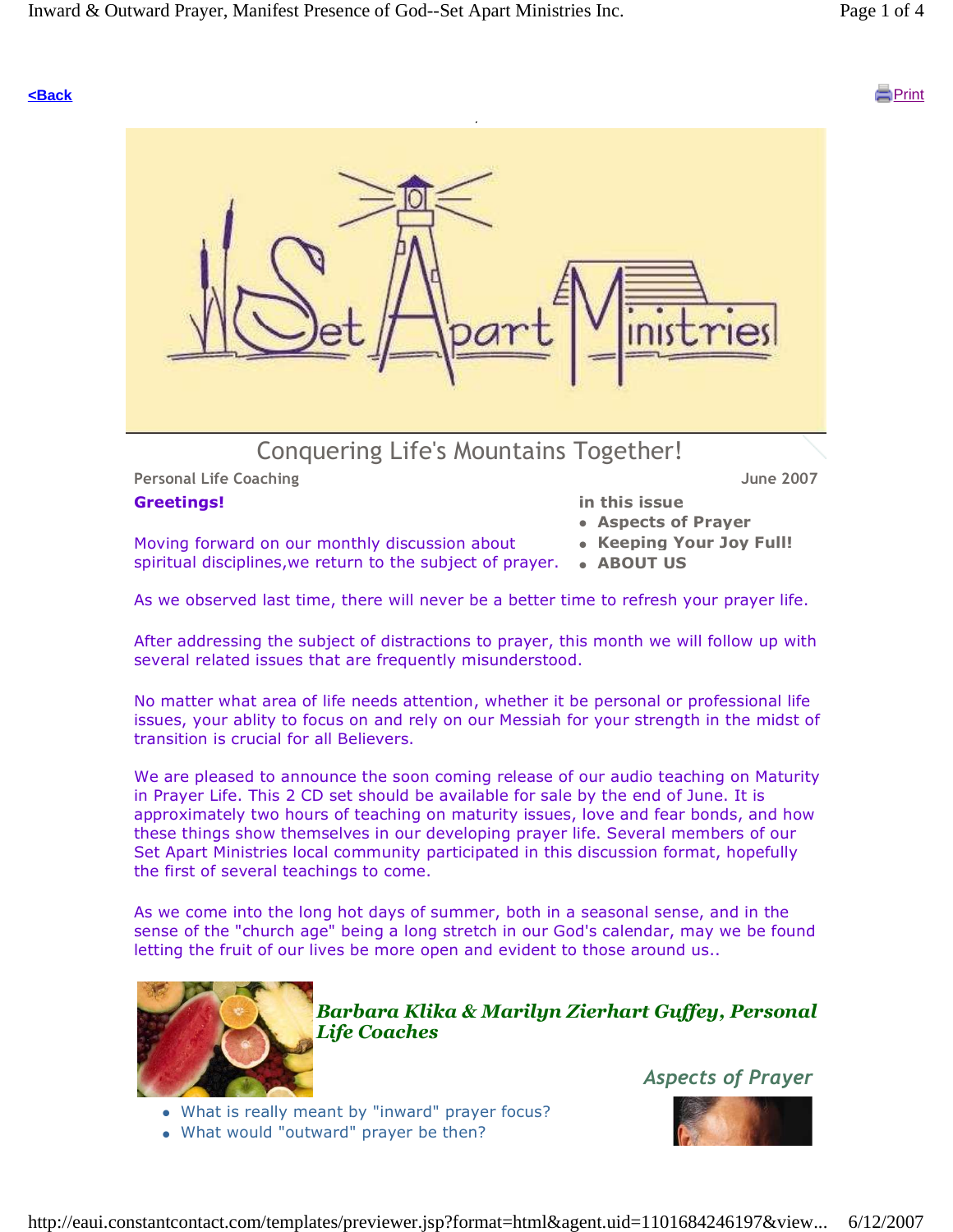#### **<Back** Print



#### Greetings!

in this issue

 Aspects of Prayer • Keeping Your Joy Full!

- Moving forward on our monthly discussion about spiritual disciplines, we return to the subject of prayer. • ABOUT US
	-

As we observed last time, there will never be a better time to refresh your prayer life.

After addressing the subject of distractions to prayer, this month we will follow up with several related issues that are frequently misunderstood.

No matter what area of life needs attention, whether it be personal or professional life issues, your ablity to focus on and rely on our Messiah for your strength in the midst of transition is crucial for all Believers.

We are pleased to announce the soon coming release of our audio teaching on Maturity in Prayer Life. This 2 CD set should be available for sale by the end of June. It is approximately two hours of teaching on maturity issues, love and fear bonds, and how these things show themselves in our developing prayer life. Several members of our Set Apart Ministries local community participated in this discussion format, hopefully the first of several teachings to come.

As we come into the long hot days of summer, both in a seasonal sense, and in the sense of the "church age" being a long stretch in our God's calendar, may we be found letting the fruit of our lives be more open and evident to those around us..



Barbara Klika & Marilyn Zierhart Guffey, Personal Life Coaches

Aspects of Prayer

- What is really meant by "inward" prayer focus?
- What would "outward" prayer be then?

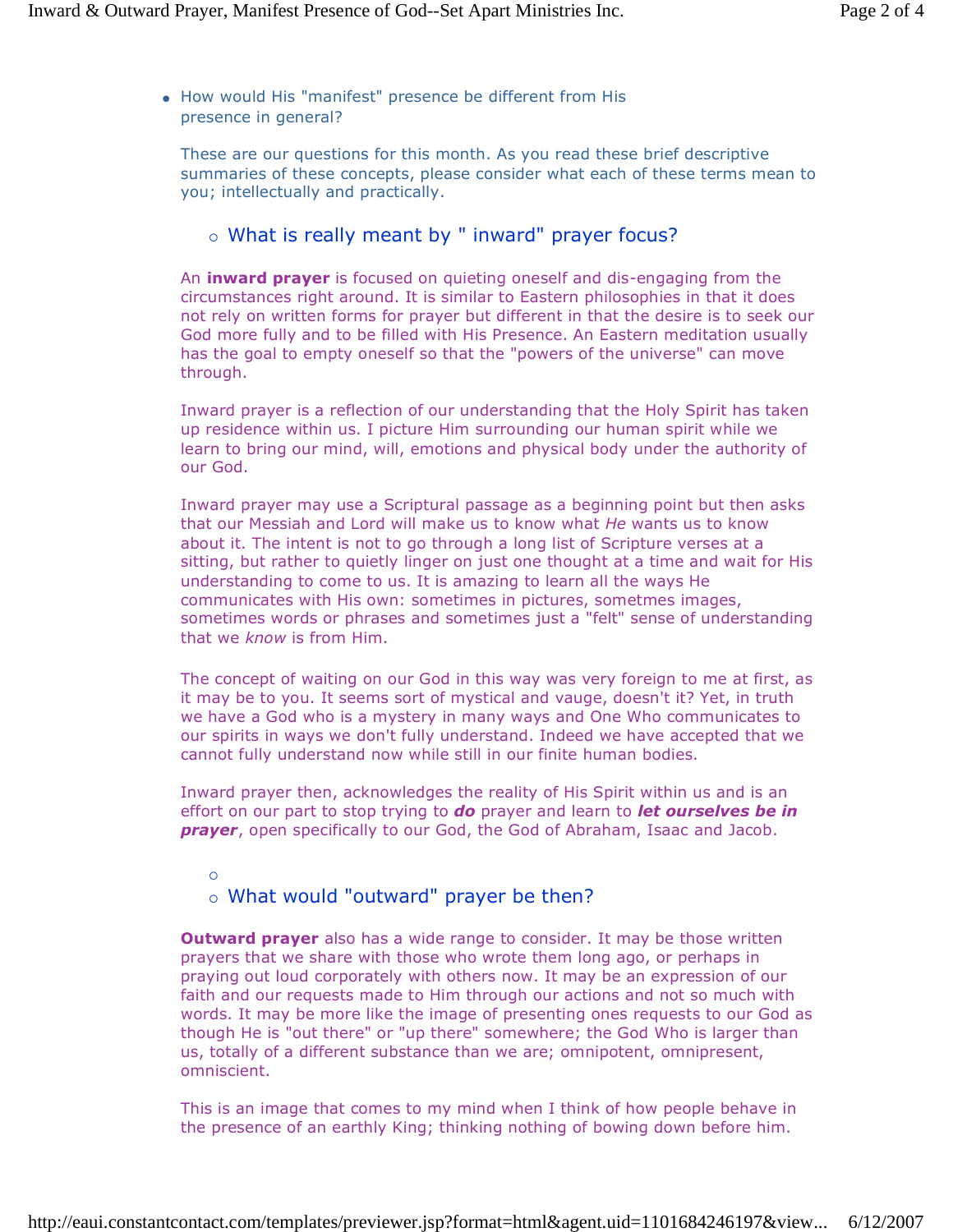• How would His "manifest" presence be different from His presence in general?

These are our questions for this month. As you read these brief descriptive summaries of these concepts, please consider what each of these terms mean to you; intellectually and practically.

#### - What is really meant by " inward" prayer focus?

An **inward prayer** is focused on quieting oneself and dis-engaging from the circumstances right around. It is similar to Eastern philosophies in that it does not rely on written forms for prayer but different in that the desire is to seek our God more fully and to be filled with His Presence. An Eastern meditation usually has the goal to empty oneself so that the "powers of the universe" can move through.

Inward prayer is a reflection of our understanding that the Holy Spirit has taken up residence within us. I picture Him surrounding our human spirit while we learn to bring our mind, will, emotions and physical body under the authority of our God.

Inward prayer may use a Scriptural passage as a beginning point but then asks that our Messiah and Lord will make us to know what He wants us to know about it. The intent is not to go through a long list of Scripture verses at a sitting, but rather to quietly linger on just one thought at a time and wait for His understanding to come to us. It is amazing to learn all the ways He communicates with His own: sometimes in pictures, sometmes images, sometimes words or phrases and sometimes just a "felt" sense of understanding that we know is from Him.

The concept of waiting on our God in this way was very foreign to me at first, as it may be to you. It seems sort of mystical and vauge, doesn't it? Yet, in truth we have a God who is a mystery in many ways and One Who communicates to our spirits in ways we don't fully understand. Indeed we have accepted that we cannot fully understand now while still in our finite human bodies.

Inward prayer then, acknowledges the reality of His Spirit within us and is an effort on our part to stop trying to do prayer and learn to let ourselves be in prayer, open specifically to our God, the God of Abraham, Isaac and Jacob.

 $\overline{O}$ 

## - What would "outward" prayer be then?

**Outward prayer** also has a wide range to consider. It may be those written prayers that we share with those who wrote them long ago, or perhaps in praying out loud corporately with others now. It may be an expression of our faith and our requests made to Him through our actions and not so much with words. It may be more like the image of presenting ones requests to our God as though He is "out there" or "up there" somewhere; the God Who is larger than us, totally of a different substance than we are; omnipotent, omnipresent, omniscient.

This is an image that comes to my mind when I think of how people behave in the presence of an earthly King; thinking nothing of bowing down before him.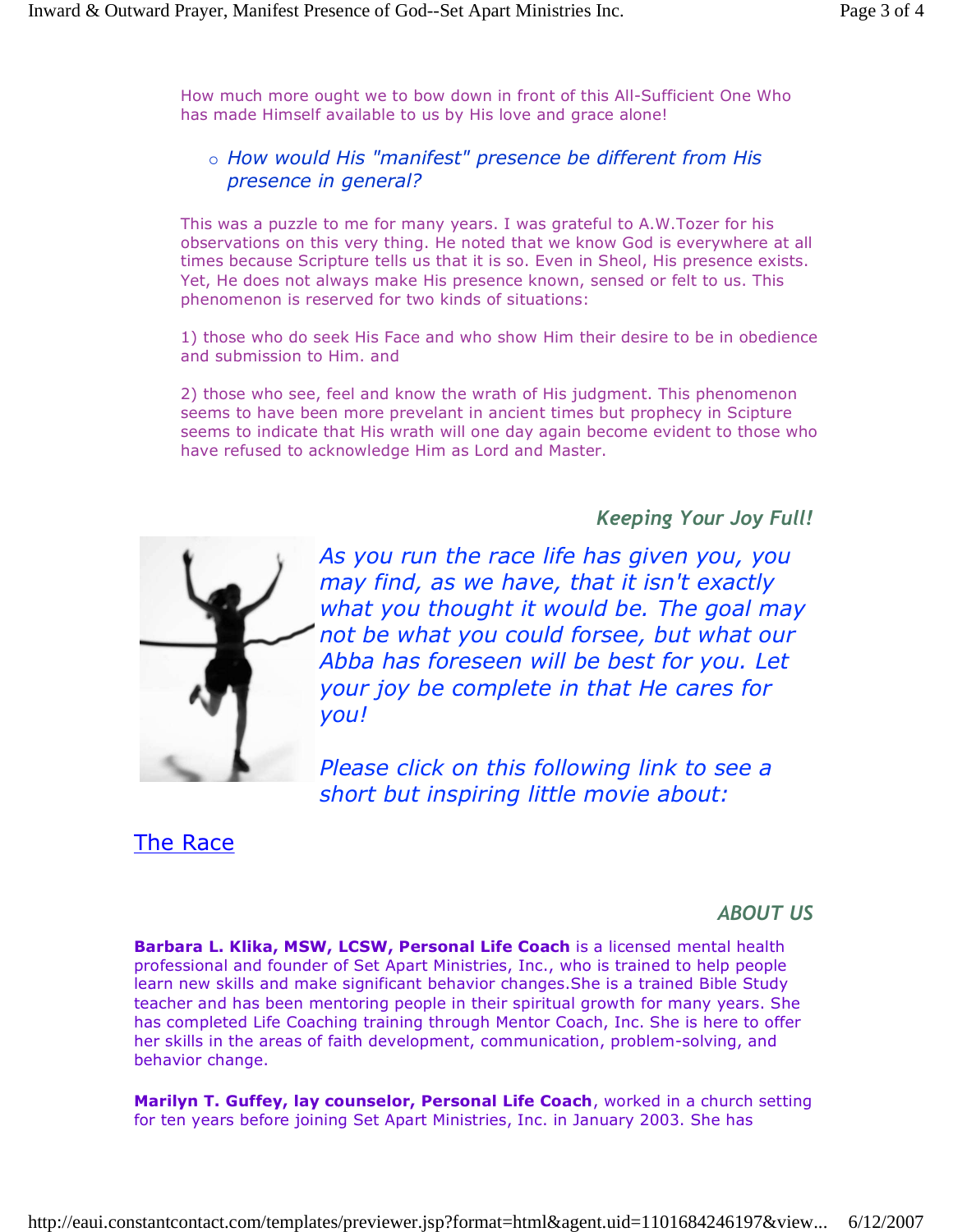How much more ought we to bow down in front of this All-Sufficient One Who has made Himself available to us by His love and grace alone!

## o How would His "manifest" presence be different from His presence in general?

This was a puzzle to me for many years. I was grateful to A.W.Tozer for his observations on this very thing. He noted that we know God is everywhere at all times because Scripture tells us that it is so. Even in Sheol, His presence exists. Yet, He does not always make His presence known, sensed or felt to us. This phenomenon is reserved for two kinds of situations:

1) those who do seek His Face and who show Him their desire to be in obedience and submission to Him. and

2) those who see, feel and know the wrath of His judgment. This phenomenon seems to have been more prevelant in ancient times but prophecy in Scipture seems to indicate that His wrath will one day again become evident to those who have refused to acknowledge Him as Lord and Master.

Keeping Your Joy Full!



As you run the race life has given you, you may find, as we have, that it isn't exactly what you thought it would be. The goal may not be what you could forsee, but what our Abba has foreseen will be best for you. Let your joy be complete in that He cares for you!

Please click on this following link to see a short but inspiring little movie about:

The Race

## ABOUT US

Barbara L. Klika, MSW, LCSW, Personal Life Coach is a licensed mental health professional and founder of Set Apart Ministries, Inc., who is trained to help people learn new skills and make significant behavior changes.She is a trained Bible Study teacher and has been mentoring people in their spiritual growth for many years. She has completed Life Coaching training through Mentor Coach, Inc. She is here to offer her skills in the areas of faith development, communication, problem-solving, and behavior change.

Marilyn T. Guffey, lay counselor, Personal Life Coach, worked in a church setting for ten years before joining Set Apart Ministries, Inc. in January 2003. She has